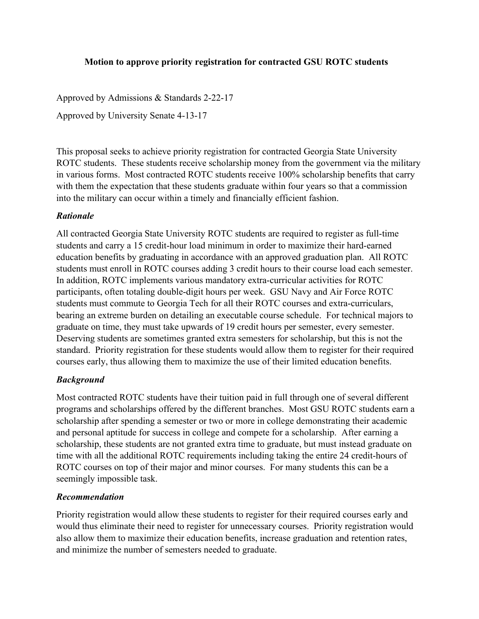## **Motion to approve priority registration for contracted GSU ROTC students**

Approved by Admissions & Standards 2-22-17

Approved by University Senate 4-13-17

This proposal seeks to achieve priority registration for contracted Georgia State University ROTC students. These students receive scholarship money from the government via the military in various forms. Most contracted ROTC students receive 100% scholarship benefits that carry with them the expectation that these students graduate within four years so that a commission into the military can occur within a timely and financially efficient fashion.

## *Rationale*

All contracted Georgia State University ROTC students are required to register as full-time students and carry a 15 credit-hour load minimum in order to maximize their hard-earned education benefits by graduating in accordance with an approved graduation plan. All ROTC students must enroll in ROTC courses adding 3 credit hours to their course load each semester. In addition, ROTC implements various mandatory extra-curricular activities for ROTC participants, often totaling double-digit hours per week. GSU Navy and Air Force ROTC students must commute to Georgia Tech for all their ROTC courses and extra-curriculars, bearing an extreme burden on detailing an executable course schedule. For technical majors to graduate on time, they must take upwards of 19 credit hours per semester, every semester. Deserving students are sometimes granted extra semesters for scholarship, but this is not the standard. Priority registration for these students would allow them to register for their required courses early, thus allowing them to maximize the use of their limited education benefits.

## *Background*

Most contracted ROTC students have their tuition paid in full through one of several different programs and scholarships offered by the different branches. Most GSU ROTC students earn a scholarship after spending a semester or two or more in college demonstrating their academic and personal aptitude for success in college and compete for a scholarship. After earning a scholarship, these students are not granted extra time to graduate, but must instead graduate on time with all the additional ROTC requirements including taking the entire 24 credit-hours of ROTC courses on top of their major and minor courses. For many students this can be a seemingly impossible task.

## *Recommendation*

Priority registration would allow these students to register for their required courses early and would thus eliminate their need to register for unnecessary courses. Priority registration would also allow them to maximize their education benefits, increase graduation and retention rates, and minimize the number of semesters needed to graduate.